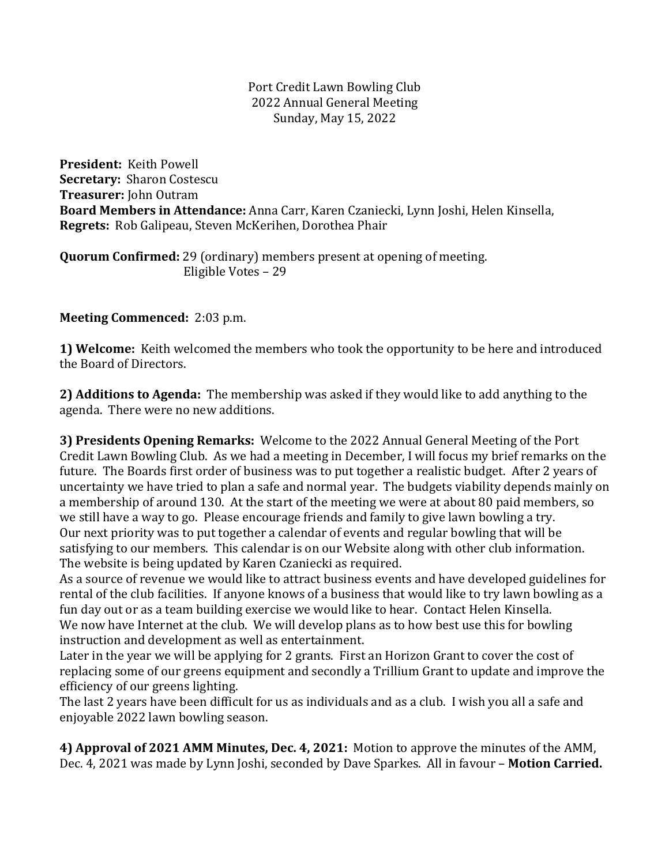#### Port Credit Lawn Bowling Club 2022 Annual General Meeting Sunday, May 15, 2022

**President:** Keith Powell **Secretary: Sharon Costescu Treasurer:** John Outram **Board Members in Attendance:** Anna Carr, Karen Czaniecki, Lynn Joshi, Helen Kinsella, **Regrets:** Rob Galipeau, Steven McKerihen, Dorothea Phair

**Quorum Confirmed:** 29 (ordinary) members present at opening of meeting. Eligible Votes - 29

**Meeting Commenced:** 2:03 p.m.

**1) Welcome:** Keith welcomed the members who took the opportunity to be here and introduced the Board of Directors.

**2) Additions to Agenda:** The membership was asked if they would like to add anything to the agenda. There were no new additions.

**3) Presidents Opening Remarks:** Welcome to the 2022 Annual General Meeting of the Port Credit Lawn Bowling Club. As we had a meeting in December, I will focus my brief remarks on the future. The Boards first order of business was to put together a realistic budget. After 2 years of uncertainty we have tried to plan a safe and normal year. The budgets viability depends mainly on a membership of around 130. At the start of the meeting we were at about 80 paid members, so we still have a way to go. Please encourage friends and family to give lawn bowling a try. Our next priority was to put together a calendar of events and regular bowling that will be satisfying to our members. This calendar is on our Website along with other club information. The website is being updated by Karen Czaniecki as required.

As a source of revenue we would like to attract business events and have developed guidelines for rental of the club facilities. If anyone knows of a business that would like to try lawn bowling as a fun day out or as a team building exercise we would like to hear. Contact Helen Kinsella. We now have Internet at the club. We will develop plans as to how best use this for bowling instruction and development as well as entertainment.

Later in the year we will be applying for 2 grants. First an Horizon Grant to cover the cost of replacing some of our greens equipment and secondly a Trillium Grant to update and improve the efficiency of our greens lighting.

The last 2 years have been difficult for us as individuals and as a club. I wish you all a safe and enjoyable 2022 lawn bowling season.

**4) Approval of 2021 AMM Minutes, Dec. 4, 2021:** Motion to approve the minutes of the AMM, Dec. 4, 2021 was made by Lynn Joshi, seconded by Dave Sparkes. All in favour – **Motion Carried.**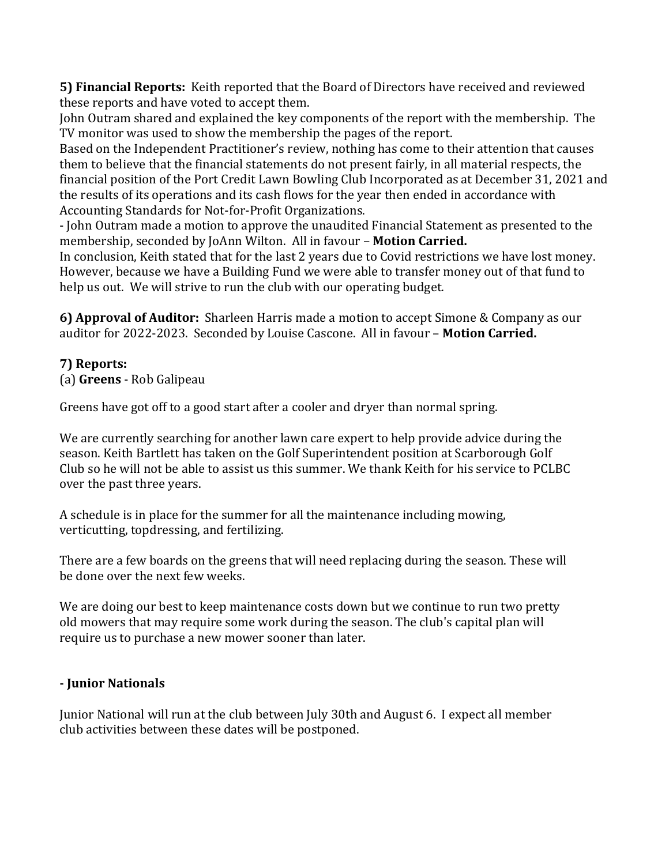**5) Financial Reports:** Keith reported that the Board of Directors have received and reviewed these reports and have voted to accept them.

John Outram shared and explained the key components of the report with the membership. The TV monitor was used to show the membership the pages of the report.

Based on the Independent Practitioner's review, nothing has come to their attention that causes them to believe that the financial statements do not present fairly, in all material respects, the financial position of the Port Credit Lawn Bowling Club Incorporated as at December 31, 2021 and the results of its operations and its cash flows for the year then ended in accordance with Accounting Standards for Not-for-Profit Organizations.

- John Outram made a motion to approve the unaudited Financial Statement as presented to the membership, seconded by JoAnn Wilton. All in favour - **Motion Carried.** 

In conclusion, Keith stated that for the last 2 years due to Covid restrictions we have lost money. However, because we have a Building Fund we were able to transfer money out of that fund to help us out. We will strive to run the club with our operating budget.

**6) Approval of Auditor:** Sharleen Harris made a motion to accept Simone & Company as our auditor for 2022-2023. Seconded by Louise Cascone. All in favour - Motion Carried.

# **7) Reports:**

(a) **Greens** - Rob Galipeau

Greens have got off to a good start after a cooler and dryer than normal spring.

We are currently searching for another lawn care expert to help provide advice during the season. Keith Bartlett has taken on the Golf Superintendent position at Scarborough Golf Club so he will not be able to assist us this summer. We thank Keith for his service to PCLBC over the past three years.

A schedule is in place for the summer for all the maintenance including mowing, verticutting, topdressing, and fertilizing.

There are a few boards on the greens that will need replacing during the season. These will be done over the next few weeks.

We are doing our best to keep maintenance costs down but we continue to run two pretty old mowers that may require some work during the season. The club's capital plan will require us to purchase a new mower sooner than later.

#### **- Junior Nationals**

Junior National will run at the club between July 30th and August 6. I expect all member club activities between these dates will be postponed.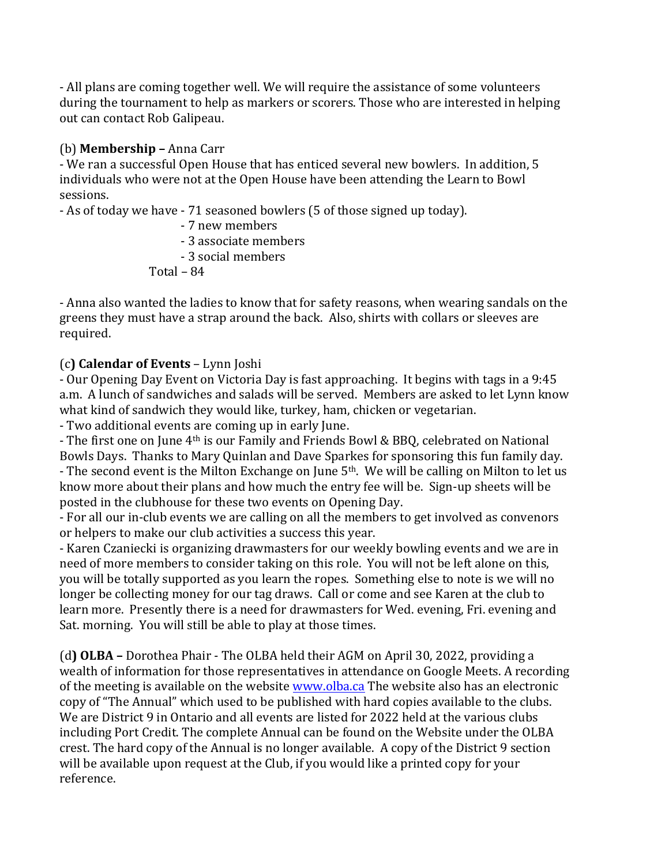- All plans are coming together well. We will require the assistance of some volunteers during the tournament to help as markers or scorers. Those who are interested in helping out can contact Rob Galipeau.

## (b) **Membership –** Anna Carr

- We ran a successful Open House that has enticed several new bowlers. In addition, 5 individuals who were not at the Open House have been attending the Learn to Bowl sessions.

- As of today we have - 71 seasoned bowlers (5 of those signed up today).

- - 7 new members
- - 3 associate members
- - 3 social members

 $Total - 84$ 

- Anna also wanted the ladies to know that for safety reasons, when wearing sandals on the greens they must have a strap around the back. Also, shirts with collars or sleeves are required.

# (c**) Calendar of Events** – Lynn Joshi

- Our Opening Day Event on Victoria Day is fast approaching. It begins with tags in a 9:45 a.m. A lunch of sandwiches and salads will be served. Members are asked to let Lynn know what kind of sandwich they would like, turkey, ham, chicken or vegetarian.

- Two additional events are coming up in early June.

- The first one on June 4<sup>th</sup> is our Family and Friends Bowl & BBQ, celebrated on National Bowls Days. Thanks to Mary Quinlan and Dave Sparkes for sponsoring this fun family day. - The second event is the Milton Exchange on June  $5<sup>th</sup>$ . We will be calling on Milton to let us know more about their plans and how much the entry fee will be. Sign-up sheets will be posted in the clubhouse for these two events on Opening Day.

- For all our in-club events we are calling on all the members to get involved as convenors or helpers to make our club activities a success this year.

- Karen Czaniecki is organizing drawmasters for our weekly bowling events and we are in need of more members to consider taking on this role. You will not be left alone on this, you will be totally supported as you learn the ropes. Something else to note is we will no longer be collecting money for our tag draws. Call or come and see Karen at the club to learn more. Presently there is a need for drawmasters for Wed. evening, Fri. evening and Sat. morning. You will still be able to play at those times.

(d) OLBA – Dorothea Phair - The OLBA held their AGM on April 30, 2022, providing a wealth of information for those representatives in attendance on Google Meets. A recording of the meeting is available on the website www.olba.ca The website also has an electronic copy of "The Annual" which used to be published with hard copies available to the clubs. We are District 9 in Ontario and all events are listed for 2022 held at the various clubs including Port Credit. The complete Annual can be found on the Website under the OLBA crest. The hard copy of the Annual is no longer available. A copy of the District 9 section will be available upon request at the Club, if you would like a printed copy for your reference.